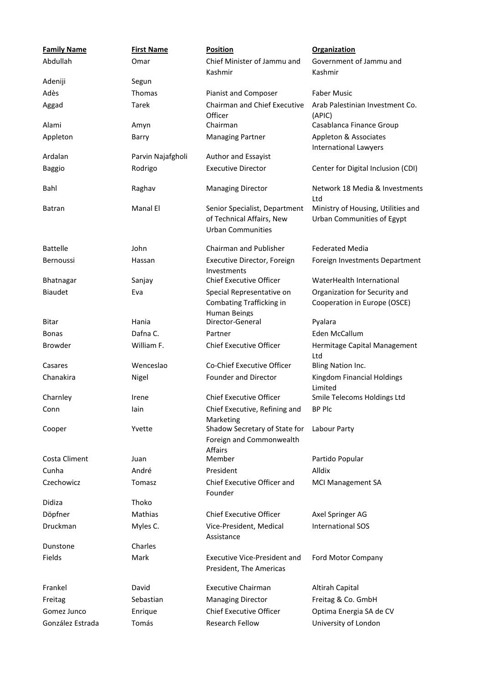| <b>Family Name</b> | <b>First Name</b> | <b>Position</b>                                                                        | <b>Organization</b>                                              |
|--------------------|-------------------|----------------------------------------------------------------------------------------|------------------------------------------------------------------|
| Abdullah           | Omar              | Chief Minister of Jammu and<br>Kashmir                                                 | Government of Jammu and<br>Kashmir                               |
| Adeniji            | Segun             |                                                                                        |                                                                  |
| Adès               | Thomas            | Pianist and Composer                                                                   | <b>Faber Music</b>                                               |
| Aggad              | Tarek             | Chairman and Chief Executive<br>Officer                                                | Arab Palestinian Investment Co.<br>(APIC)                        |
| Alami              | Amyn              | Chairman                                                                               | Casablanca Finance Group                                         |
| Appleton           | Barry             | <b>Managing Partner</b>                                                                | Appleton & Associates<br><b>International Lawyers</b>            |
| Ardalan            | Parvin Najafgholi | Author and Essayist                                                                    |                                                                  |
| <b>Baggio</b>      | Rodrigo           | <b>Executive Director</b>                                                              | Center for Digital Inclusion (CDI)                               |
| Bahl               | Raghav            | <b>Managing Director</b>                                                               | Network 18 Media & Investments<br>Ltd                            |
| Batran             | Manal El          | Senior Specialist, Department<br>of Technical Affairs, New<br><b>Urban Communities</b> | Ministry of Housing, Utilities and<br>Urban Communities of Egypt |
| <b>Battelle</b>    | John              | Chairman and Publisher                                                                 | <b>Federated Media</b>                                           |
| Bernoussi          | Hassan            | Executive Director, Foreign<br>Investments                                             | Foreign Investments Department                                   |
| <b>Bhatnagar</b>   | Sanjay            | <b>Chief Executive Officer</b>                                                         | WaterHealth International                                        |
| <b>Biaudet</b>     | Eva               | Special Representative on<br>Combating Trafficking in<br>Human Beings                  | Organization for Security and<br>Cooperation in Europe (OSCE)    |
| <b>Bitar</b>       | Hania             | Director-General                                                                       | Pyalara                                                          |
| <b>Bonas</b>       | Dafna C.          | Partner                                                                                | Eden McCallum                                                    |
| Browder            | William F.        | <b>Chief Executive Officer</b>                                                         | Hermitage Capital Management<br>Ltd                              |
| Casares            | Wenceslao         | Co-Chief Executive Officer                                                             | Bling Nation Inc.                                                |
| Chanakira          | Nigel             | Founder and Director                                                                   | Kingdom Financial Holdings<br>Limited                            |
| Charnley           | Irene             | <b>Chief Executive Officer</b>                                                         | Smile Telecoms Holdings Ltd                                      |
| Conn               | lain              | Chief Executive, Refining and                                                          | <b>BP Plc</b>                                                    |
| Cooper             | Yvette            | Marketing<br>Shadow Secretary of State for<br>Foreign and Commonwealth                 | Labour Party                                                     |
| Costa Climent      | Juan              | Affairs<br>Member                                                                      | Partido Popular                                                  |
| Cunha              | André             | President                                                                              | Alldix                                                           |
| Czechowicz         | Tomasz            | <b>Chief Executive Officer and</b><br>Founder                                          | <b>MCI Management SA</b>                                         |
| Didiza             | Thoko             |                                                                                        |                                                                  |
| Döpfner            | Mathias           | <b>Chief Executive Officer</b>                                                         | Axel Springer AG                                                 |
| <b>Druckman</b>    | Myles C.          | Vice-President, Medical<br>Assistance                                                  | <b>International SOS</b>                                         |
| Dunstone           | Charles           |                                                                                        |                                                                  |
| Fields             | Mark              | <b>Executive Vice-President and</b><br>President, The Americas                         | Ford Motor Company                                               |
| Frankel            | David             | <b>Executive Chairman</b>                                                              | Altirah Capital                                                  |
| Freitag            | Sebastian         | <b>Managing Director</b>                                                               | Freitag & Co. GmbH                                               |
| Gomez Junco        | Enrique           | <b>Chief Executive Officer</b>                                                         | Optima Energia SA de CV                                          |
| González Estrada   | Tomás             | <b>Research Fellow</b>                                                                 | University of London                                             |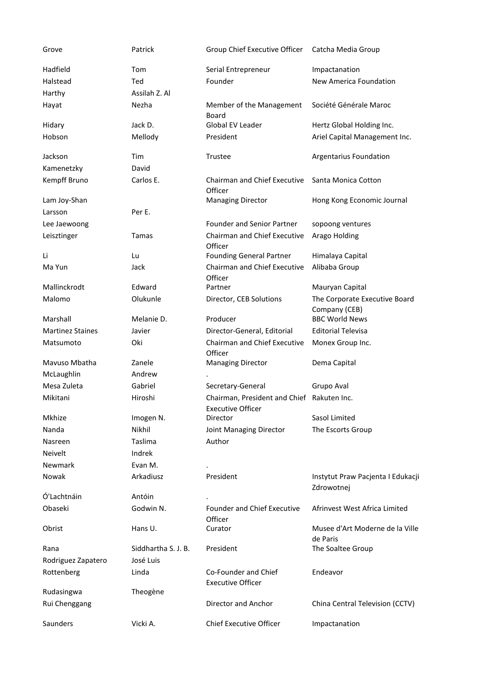| Grove                   | Patrick             | Group Chief Executive Officer                                          | Catcha Media Group                              |
|-------------------------|---------------------|------------------------------------------------------------------------|-------------------------------------------------|
| Hadfield                | Tom                 | Serial Entrepreneur                                                    | Impactanation                                   |
| Halstead                | Ted                 | Founder                                                                | New America Foundation                          |
| Harthy                  | Assilah Z. Al       |                                                                        |                                                 |
| Hayat                   | Nezha               | Member of the Management<br>Board                                      | Société Générale Maroc                          |
| Hidary                  | Jack D.             | <b>Global EV Leader</b>                                                | Hertz Global Holding Inc.                       |
| Hobson                  | Mellody             | President                                                              | Ariel Capital Management Inc.                   |
| Jackson                 | Tim                 | Trustee                                                                | Argentarius Foundation                          |
| Kamenetzky              | David               |                                                                        |                                                 |
| Kempff Bruno            | Carlos E.           | <b>Chairman and Chief Executive</b><br>Officer                         | Santa Monica Cotton                             |
| Lam Joy-Shan            |                     | <b>Managing Director</b>                                               | Hong Kong Economic Journal                      |
| Larsson                 | Per E.              |                                                                        |                                                 |
| Lee Jaewoong            |                     | <b>Founder and Senior Partner</b>                                      | sopoong ventures                                |
| Leisztinger             | Tamas               | Chairman and Chief Executive<br>Officer                                | Arago Holding                                   |
| Li                      | Lu                  | <b>Founding General Partner</b>                                        | Himalaya Capital                                |
| Ma Yun                  | Jack                | Chairman and Chief Executive<br>Officer                                | Alibaba Group                                   |
| Mallinckrodt            | Edward              | Partner                                                                | Mauryan Capital                                 |
| Malomo                  | Olukunle            | Director, CEB Solutions                                                | The Corporate Executive Board<br>Company (CEB)  |
| Marshall                | Melanie D.          | Producer                                                               | <b>BBC World News</b>                           |
| <b>Martinez Staines</b> | Javier              | Director-General, Editorial                                            | <b>Editorial Televisa</b>                       |
| Matsumoto               | Oki                 | <b>Chairman and Chief Executive</b><br>Officer                         | Monex Group Inc.                                |
| Mavuso Mbatha           | Zanele              | <b>Managing Director</b>                                               | Dema Capital                                    |
| McLaughlin              | Andrew              |                                                                        |                                                 |
| Mesa Zuleta             | Gabriel             | Secretary-General                                                      | Grupo Aval                                      |
| Mikitani                | Hiroshi             | Chairman, President and Chief Rakuten Inc.<br><b>Executive Officer</b> |                                                 |
| Mkhize                  | Imogen N.           | Director                                                               | Sasol Limited                                   |
| Nanda                   | Nikhil              | Joint Managing Director                                                | The Escorts Group                               |
| Nasreen                 | Taslima             | Author                                                                 |                                                 |
| <b>Neivelt</b>          | Indrek              |                                                                        |                                                 |
| <b>Newmark</b>          | Evan M.             |                                                                        |                                                 |
| Nowak                   | Arkadiusz           | President                                                              | Instytut Praw Pacjenta I Edukacji<br>Zdrowotnej |
| Ó'Lachtnáin             | Antóin              |                                                                        |                                                 |
| Obaseki                 | Godwin N.           | <b>Founder and Chief Executive</b><br>Officer                          | Afrinvest West Africa Limited                   |
| Obrist                  | Hans U.             | Curator                                                                | Musee d'Art Moderne de la Ville<br>de Paris     |
| Rana                    | Siddhartha S. J. B. | President                                                              | The Soaltee Group                               |
| Rodriguez Zapatero      | José Luis           |                                                                        |                                                 |
| Rottenberg              | Linda               | Co-Founder and Chief<br><b>Executive Officer</b>                       | Endeavor                                        |
| Rudasingwa              | Theogène            |                                                                        |                                                 |
| Rui Chenggang           |                     | Director and Anchor                                                    | China Central Television (CCTV)                 |
|                         |                     |                                                                        |                                                 |